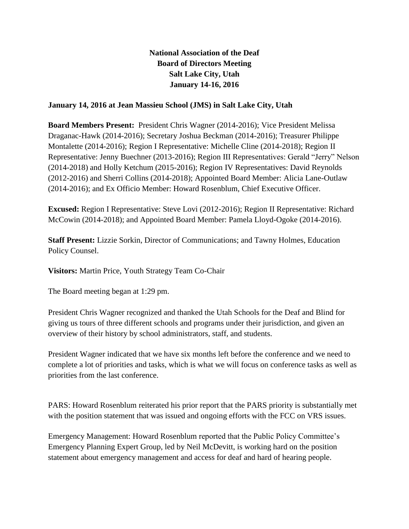## **National Association of the Deaf Board of Directors Meeting Salt Lake City, Utah January 14-16, 2016**

## **January 14, 2016 at Jean Massieu School (JMS) in Salt Lake City, Utah**

**Board Members Present:** President Chris Wagner (2014-2016); Vice President Melissa Draganac-Hawk (2014-2016); Secretary Joshua Beckman (2014-2016); Treasurer Philippe Montalette (2014-2016); Region I Representative: Michelle Cline (2014-2018); Region II Representative: Jenny Buechner (2013-2016); Region III Representatives: Gerald "Jerry" Nelson (2014-2018) and Holly Ketchum (2015-2016); Region IV Representatives: David Reynolds (2012-2016) and Sherri Collins (2014-2018); Appointed Board Member: Alicia Lane-Outlaw (2014-2016); and Ex Officio Member: Howard Rosenblum, Chief Executive Officer.

**Excused:** Region I Representative: Steve Lovi (2012-2016); Region II Representative: Richard McCowin (2014-2018); and Appointed Board Member: Pamela Lloyd-Ogoke (2014-2016).

**Staff Present:** Lizzie Sorkin, Director of Communications; and Tawny Holmes, Education Policy Counsel.

**Visitors:** Martin Price, Youth Strategy Team Co-Chair

The Board meeting began at 1:29 pm.

President Chris Wagner recognized and thanked the Utah Schools for the Deaf and Blind for giving us tours of three different schools and programs under their jurisdiction, and given an overview of their history by school administrators, staff, and students.

President Wagner indicated that we have six months left before the conference and we need to complete a lot of priorities and tasks, which is what we will focus on conference tasks as well as priorities from the last conference.

PARS: Howard Rosenblum reiterated his prior report that the PARS priority is substantially met with the position statement that was issued and ongoing efforts with the FCC on VRS issues.

Emergency Management: Howard Rosenblum reported that the Public Policy Committee's Emergency Planning Expert Group, led by Neil McDevitt, is working hard on the position statement about emergency management and access for deaf and hard of hearing people.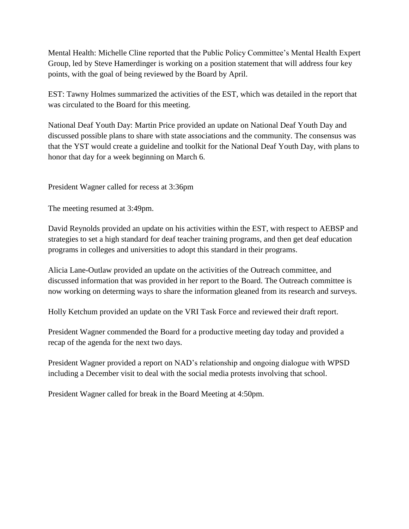Mental Health: Michelle Cline reported that the Public Policy Committee's Mental Health Expert Group, led by Steve Hamerdinger is working on a position statement that will address four key points, with the goal of being reviewed by the Board by April.

EST: Tawny Holmes summarized the activities of the EST, which was detailed in the report that was circulated to the Board for this meeting.

National Deaf Youth Day: Martin Price provided an update on National Deaf Youth Day and discussed possible plans to share with state associations and the community. The consensus was that the YST would create a guideline and toolkit for the National Deaf Youth Day, with plans to honor that day for a week beginning on March 6.

President Wagner called for recess at 3:36pm

The meeting resumed at 3:49pm.

David Reynolds provided an update on his activities within the EST, with respect to AEBSP and strategies to set a high standard for deaf teacher training programs, and then get deaf education programs in colleges and universities to adopt this standard in their programs.

Alicia Lane-Outlaw provided an update on the activities of the Outreach committee, and discussed information that was provided in her report to the Board. The Outreach committee is now working on determing ways to share the information gleaned from its research and surveys.

Holly Ketchum provided an update on the VRI Task Force and reviewed their draft report.

President Wagner commended the Board for a productive meeting day today and provided a recap of the agenda for the next two days.

President Wagner provided a report on NAD's relationship and ongoing dialogue with WPSD including a December visit to deal with the social media protests involving that school.

President Wagner called for break in the Board Meeting at 4:50pm.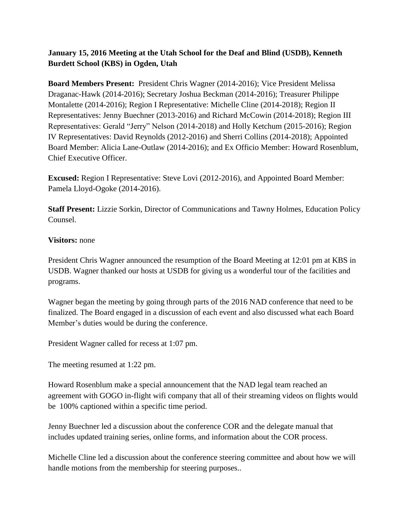**January 15, 2016 Meeting at the Utah School for the Deaf and Blind (USDB), Kenneth Burdett School (KBS) in Ogden, Utah**

**Board Members Present:** President Chris Wagner (2014-2016); Vice President Melissa Draganac-Hawk (2014-2016); Secretary Joshua Beckman (2014-2016); Treasurer Philippe Montalette (2014-2016); Region I Representative: Michelle Cline (2014-2018); Region II Representatives: Jenny Buechner (2013-2016) and Richard McCowin (2014-2018); Region III Representatives: Gerald "Jerry" Nelson (2014-2018) and Holly Ketchum (2015-2016); Region IV Representatives: David Reynolds (2012-2016) and Sherri Collins (2014-2018); Appointed Board Member: Alicia Lane-Outlaw (2014-2016); and Ex Officio Member: Howard Rosenblum, Chief Executive Officer.

**Excused:** Region I Representative: Steve Lovi (2012-2016), and Appointed Board Member: Pamela Lloyd-Ogoke (2014-2016).

**Staff Present:** Lizzie Sorkin, Director of Communications and Tawny Holmes, Education Policy Counsel.

## **Visitors:** none

President Chris Wagner announced the resumption of the Board Meeting at 12:01 pm at KBS in USDB. Wagner thanked our hosts at USDB for giving us a wonderful tour of the facilities and programs.

Wagner began the meeting by going through parts of the 2016 NAD conference that need to be finalized. The Board engaged in a discussion of each event and also discussed what each Board Member's duties would be during the conference.

President Wagner called for recess at 1:07 pm.

The meeting resumed at 1:22 pm.

Howard Rosenblum make a special announcement that the NAD legal team reached an agreement with GOGO in-flight wifi company that all of their streaming videos on flights would be 100% captioned within a specific time period.

Jenny Buechner led a discussion about the conference COR and the delegate manual that includes updated training series, online forms, and information about the COR process.

Michelle Cline led a discussion about the conference steering committee and about how we will handle motions from the membership for steering purposes..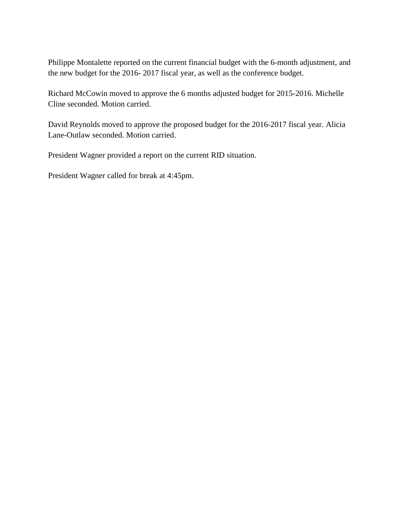Philippe Montalette reported on the current financial budget with the 6-month adjustment, and the new budget for the 2016- 2017 fiscal year, as well as the conference budget.

Richard McCowin moved to approve the 6 months adjusted budget for 2015-2016. Michelle Cline seconded. Motion carried.

David Reynolds moved to approve the proposed budget for the 2016-2017 fiscal year. Alicia Lane-Outlaw seconded. Motion carried.

President Wagner provided a report on the current RID situation.

President Wagner called for break at 4:45pm.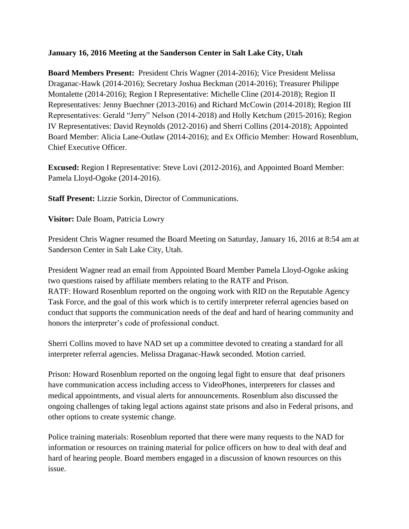## **January 16, 2016 Meeting at the Sanderson Center in Salt Lake City, Utah**

**Board Members Present:** President Chris Wagner (2014-2016); Vice President Melissa Draganac-Hawk (2014-2016); Secretary Joshua Beckman (2014-2016); Treasurer Philippe Montalette (2014-2016); Region I Representative: Michelle Cline (2014-2018); Region II Representatives: Jenny Buechner (2013-2016) and Richard McCowin (2014-2018); Region III Representatives: Gerald "Jerry" Nelson (2014-2018) and Holly Ketchum (2015-2016); Region IV Representatives: David Reynolds (2012-2016) and Sherri Collins (2014-2018); Appointed Board Member: Alicia Lane-Outlaw (2014-2016); and Ex Officio Member: Howard Rosenblum, Chief Executive Officer.

**Excused:** Region I Representative: Steve Lovi (2012-2016), and Appointed Board Member: Pamela Lloyd-Ogoke (2014-2016).

**Staff Present:** Lizzie Sorkin, Director of Communications.

**Visitor:** Dale Boam, Patricia Lowry

President Chris Wagner resumed the Board Meeting on Saturday, January 16, 2016 at 8:54 am at Sanderson Center in Salt Lake City, Utah.

President Wagner read an email from Appointed Board Member Pamela Lloyd-Ogoke asking two questions raised by affiliate members relating to the RATF and Prison. RATF: Howard Rosenblum reported on the ongoing work with RID on the Reputable Agency Task Force, and the goal of this work which is to certify interpreter referral agencies based on conduct that supports the communication needs of the deaf and hard of hearing community and honors the interpreter's code of professional conduct.

Sherri Collins moved to have NAD set up a committee devoted to creating a standard for all interpreter referral agencies. Melissa Draganac-Hawk seconded. Motion carried.

Prison: Howard Rosenblum reported on the ongoing legal fight to ensure that deaf prisoners have communication access including access to VideoPhones, interpreters for classes and medical appointments, and visual alerts for announcements. Rosenblum also discussed the ongoing challenges of taking legal actions against state prisons and also in Federal prisons, and other options to create systemic change.

Police training materials: Rosenblum reported that there were many requests to the NAD for information or resources on training material for police officers on how to deal with deaf and hard of hearing people. Board members engaged in a discussion of known resources on this issue.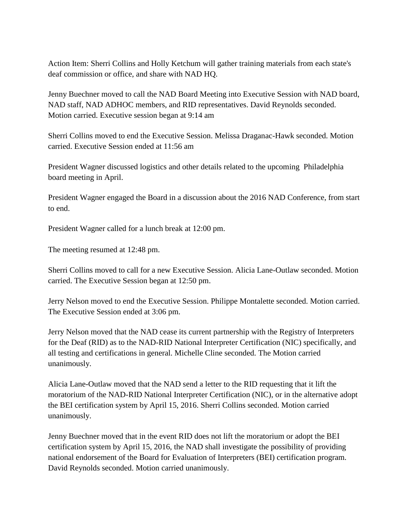Action Item: Sherri Collins and Holly Ketchum will gather training materials from each state's deaf commission or office, and share with NAD HQ.

Jenny Buechner moved to call the NAD Board Meeting into Executive Session with NAD board, NAD staff, NAD ADHOC members, and RID representatives. David Reynolds seconded. Motion carried. Executive session began at 9:14 am

Sherri Collins moved to end the Executive Session. Melissa Draganac-Hawk seconded. Motion carried. Executive Session ended at 11:56 am

President Wagner discussed logistics and other details related to the upcoming Philadelphia board meeting in April.

President Wagner engaged the Board in a discussion about the 2016 NAD Conference, from start to end.

President Wagner called for a lunch break at 12:00 pm.

The meeting resumed at 12:48 pm.

Sherri Collins moved to call for a new Executive Session. Alicia Lane-Outlaw seconded. Motion carried. The Executive Session began at 12:50 pm.

Jerry Nelson moved to end the Executive Session. Philippe Montalette seconded. Motion carried. The Executive Session ended at 3:06 pm.

Jerry Nelson moved that the NAD cease its current partnership with the Registry of Interpreters for the Deaf (RID) as to the NAD-RID National Interpreter Certification (NIC) specifically, and all testing and certifications in general. Michelle Cline seconded. The Motion carried unanimously.

Alicia Lane-Outlaw moved that the NAD send a letter to the RID requesting that it lift the moratorium of the NAD-RID National Interpreter Certification (NIC), or in the alternative adopt the BEI certification system by April 15, 2016. Sherri Collins seconded. Motion carried unanimously.

Jenny Buechner moved that in the event RID does not lift the moratorium or adopt the BEI certification system by April 15, 2016, the NAD shall investigate the possibility of providing national endorsement of the Board for Evaluation of Interpreters (BEI) certification program. David Reynolds seconded. Motion carried unanimously.